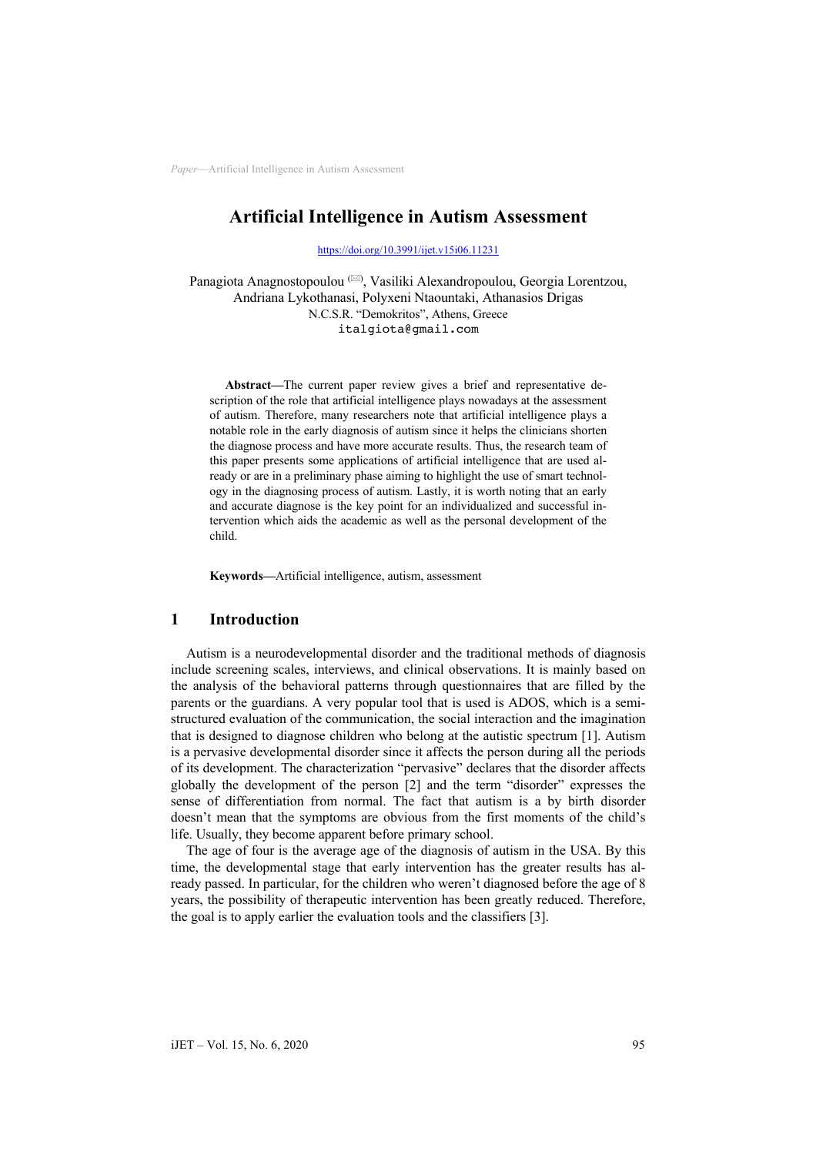# **Artificial Intelligence in Autism Assessment**

https://doi.org/10.3991/ijet.v15i06.11231

[Panagiota Anagnostopoulou](https://doi.org/10.3991/ijet.v15i06.11231) (\*) , Vasiliki Alexandropoulou, Georgia Lorentzou, Andriana Lykothanasi, Polyxeni Ntaountaki, Athanasios Drigas N.C.S.R. "Demokritos", Athens, Greece italgiota@gmail.com

**[Abstract—](mailto:italgiota@gmail.com)**The current paper review gives a brief and representative description of the role that artificial intelligence plays nowadays at the assessment of autism. Therefore, many researchers note that artificial intelligence plays a notable role in the early diagnosis of autism since it helps the clinicians shorten the diagnose process and have more accurate results. Thus, the research team of this paper presents some applications of artificial intelligence that are used already or are in a preliminary phase aiming to highlight the use of smart technology in the diagnosing process of autism. Lastly, it is worth noting that an early and accurate diagnose is the key point for an individualized and successful intervention which aids the academic as well as the personal development of the child.

**Keywords—**Artificial intelligence, autism, assessment

#### **1 Introduction**

Autism is a neurodevelopmental disorder and the traditional methods of diagnosis include screening scales, interviews, and clinical observations. It is mainly based on the analysis of the behavioral patterns through questionnaires that are filled by the parents or the guardians. A very popular tool that is used is ADOS, which is a semistructured evaluation of the communication, the social interaction and the imagination that is designed to diagnose children who belong at the autistic spectrum [1]. Autism is a pervasive developmental disorder since it affects the person during all the periods of its development. The characterization "pervasive" declares that the disorder affects globally the development of the person [2] and the term "disorder" expresses the sense of differentiation from normal. The fact that autism is a by birth disorder doesn't mean that the symptoms are obvious from the first moments of the child's life. Usually, they become apparent before primary school.

The age of four is the average age of the diagnosis of autism in the USA. By this time, the developmental stage that early intervention has the greater results has already passed. In particular, for the children who weren't diagnosed before the age of 8 years, the possibility of therapeutic intervention has been greatly reduced. Therefore, the goal is to apply earlier the evaluation tools and the classifiers [3].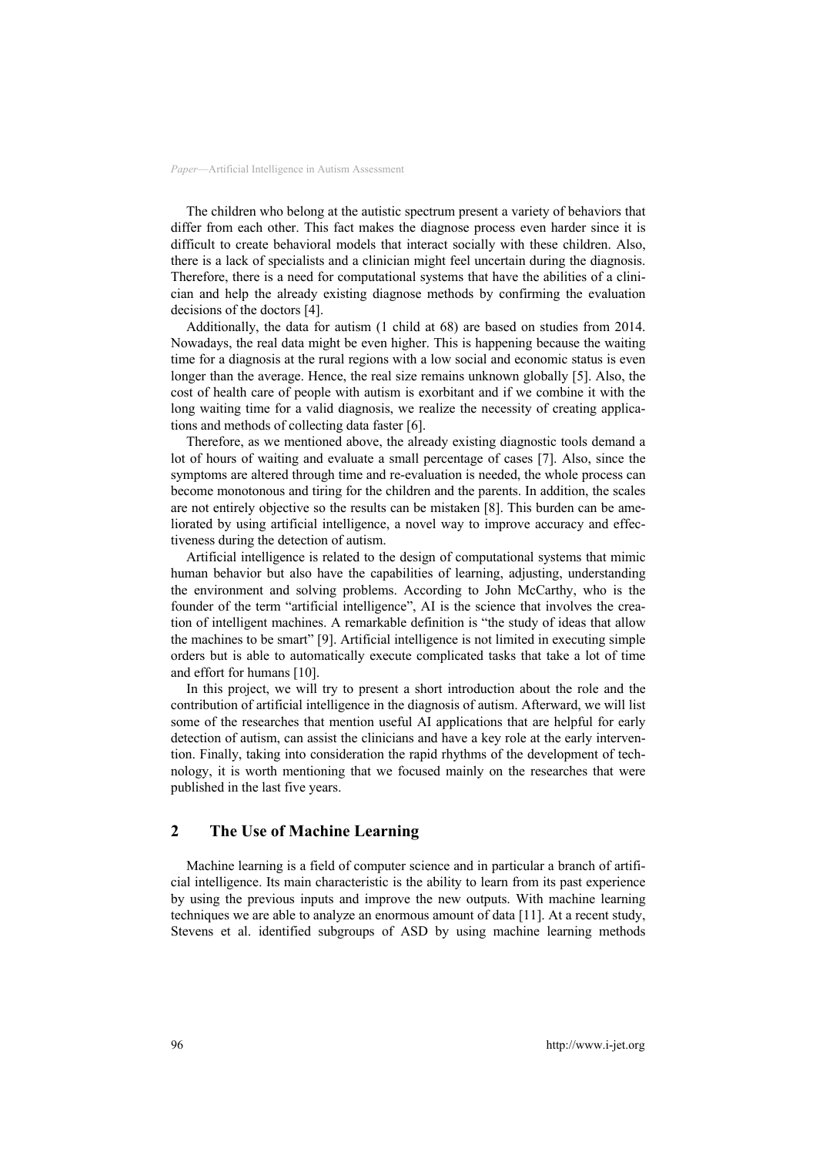The children who belong at the autistic spectrum present a variety of behaviors that differ from each other. This fact makes the diagnose process even harder since it is difficult to create behavioral models that interact socially with these children. Also, there is a lack of specialists and a clinician might feel uncertain during the diagnosis. Therefore, there is a need for computational systems that have the abilities of a clinician and help the already existing diagnose methods by confirming the evaluation decisions of the doctors [4].

Additionally, the data for autism (1 child at 68) are based on studies from 2014. Nowadays, the real data might be even higher. This is happening because the waiting time for a diagnosis at the rural regions with a low social and economic status is even longer than the average. Hence, the real size remains unknown globally [5]. Also, the cost of health care of people with autism is exorbitant and if we combine it with the long waiting time for a valid diagnosis, we realize the necessity of creating applications and methods of collecting data faster [6].

Therefore, as we mentioned above, the already existing diagnostic tools demand a lot of hours of waiting and evaluate a small percentage of cases [7]. Also, since the symptoms are altered through time and re-evaluation is needed, the whole process can become monotonous and tiring for the children and the parents. In addition, the scales are not entirely objective so the results can be mistaken [8]. This burden can be ameliorated by using artificial intelligence, a novel way to improve accuracy and effectiveness during the detection of autism.

Artificial intelligence is related to the design of computational systems that mimic human behavior but also have the capabilities of learning, adjusting, understanding the environment and solving problems. According to John McCarthy, who is the founder of the term "artificial intelligence", AI is the science that involves the creation of intelligent machines. A remarkable definition is "the study of ideas that allow the machines to be smart" [9]. Artificial intelligence is not limited in executing simple orders but is able to automatically execute complicated tasks that take a lot of time and effort for humans [10].

In this project, we will try to present a short introduction about the role and the contribution of artificial intelligence in the diagnosis of autism. Afterward, we will list some of the researches that mention useful AI applications that are helpful for early detection of autism, can assist the clinicians and have a key role at the early intervention. Finally, taking into consideration the rapid rhythms of the development of technology, it is worth mentioning that we focused mainly on the researches that were published in the last five years.

### **2 The Use of Machine Learning**

Machine learning is a field of computer science and in particular a branch of artificial intelligence. Its main characteristic is the ability to learn from its past experience by using the previous inputs and improve the new outputs. With machine learning techniques we are able to analyze an enormous amount of data [11]. At a recent study, Stevens et al. identified subgroups of ASD by using machine learning methods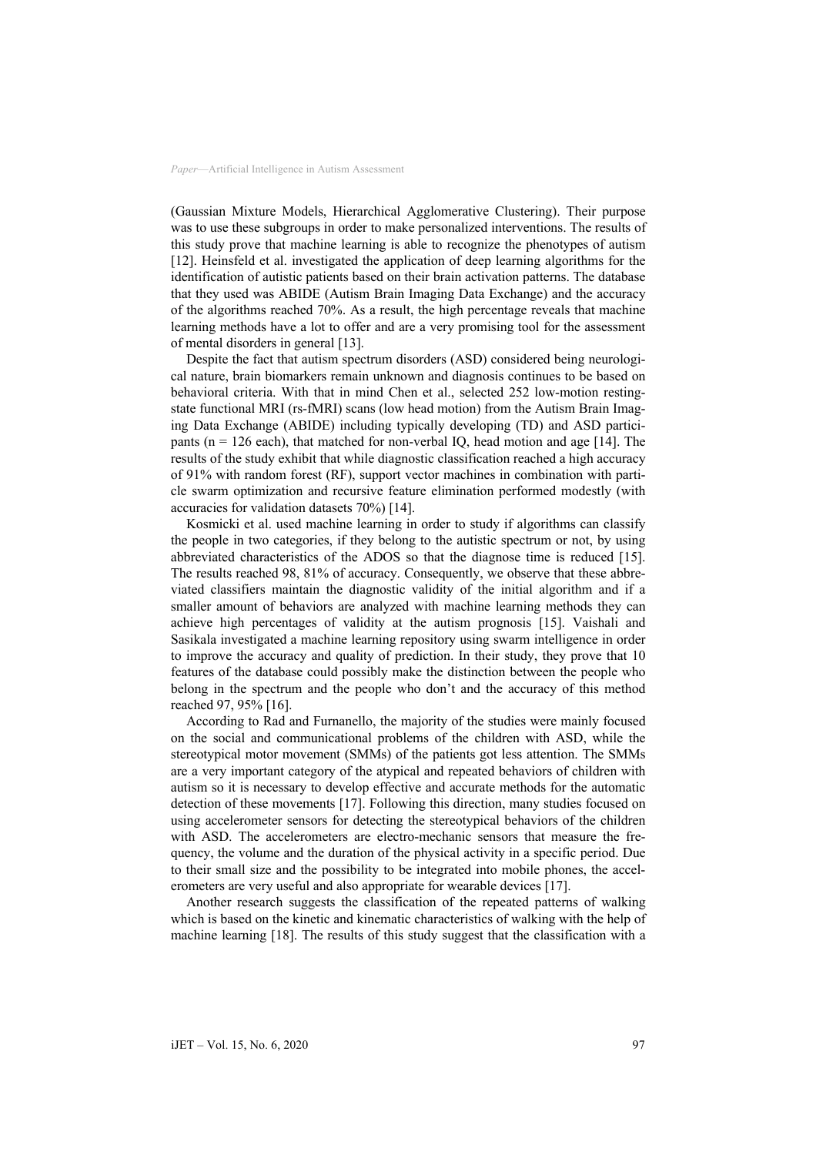(Gaussian Mixture Models, Hierarchical Agglomerative Clustering). Their purpose was to use these subgroups in order to make personalized interventions. The results of this study prove that machine learning is able to recognize the phenotypes of autism [12]. Heinsfeld et al. investigated the application of deep learning algorithms for the identification of autistic patients based on their brain activation patterns. The database that they used was ABIDE (Autism Brain Imaging Data Exchange) and the accuracy of the algorithms reached 70%. As a result, the high percentage reveals that machine learning methods have a lot to offer and are a very promising tool for the assessment of mental disorders in general [13].

Despite the fact that autism spectrum disorders (ASD) considered being neurological nature, brain biomarkers remain unknown and diagnosis continues to be based on behavioral criteria. With that in mind Chen et al., selected 252 low-motion restingstate functional MRI (rs-fMRI) scans (low head motion) from the Autism Brain Imaging Data Exchange (ABIDE) including typically developing (TD) and ASD participants ( $n = 126$  each), that matched for non-verbal IQ, head motion and age [14]. The results of the study exhibit that while diagnostic classification reached a high accuracy of 91% with random forest (RF), support vector machines in combination with particle swarm optimization and recursive feature elimination performed modestly (with accuracies for validation datasets 70%) [14].

Kosmicki et al. used machine learning in order to study if algorithms can classify the people in two categories, if they belong to the autistic spectrum or not, by using abbreviated characteristics of the ADOS so that the diagnose time is reduced [15]. The results reached 98, 81% of accuracy. Consequently, we observe that these abbreviated classifiers maintain the diagnostic validity of the initial algorithm and if a smaller amount of behaviors are analyzed with machine learning methods they can achieve high percentages of validity at the autism prognosis [15]. Vaishali and Sasikala investigated a machine learning repository using swarm intelligence in order to improve the accuracy and quality of prediction. In their study, they prove that 10 features of the database could possibly make the distinction between the people who belong in the spectrum and the people who don't and the accuracy of this method reached 97, 95% [16].

According to Rad and Furnanello, the majority of the studies were mainly focused on the social and communicational problems of the children with ASD, while the stereotypical motor movement (SMMs) of the patients got less attention. The SMMs are a very important category of the atypical and repeated behaviors of children with autism so it is necessary to develop effective and accurate methods for the automatic detection of these movements [17]. Following this direction, many studies focused on using accelerometer sensors for detecting the stereotypical behaviors of the children with ASD. The accelerometers are electro-mechanic sensors that measure the frequency, the volume and the duration of the physical activity in a specific period. Due to their small size and the possibility to be integrated into mobile phones, the accelerometers are very useful and also appropriate for wearable devices [17].

Another research suggests the classification of the repeated patterns of walking which is based on the kinetic and kinematic characteristics of walking with the help of machine learning [18]. The results of this study suggest that the classification with a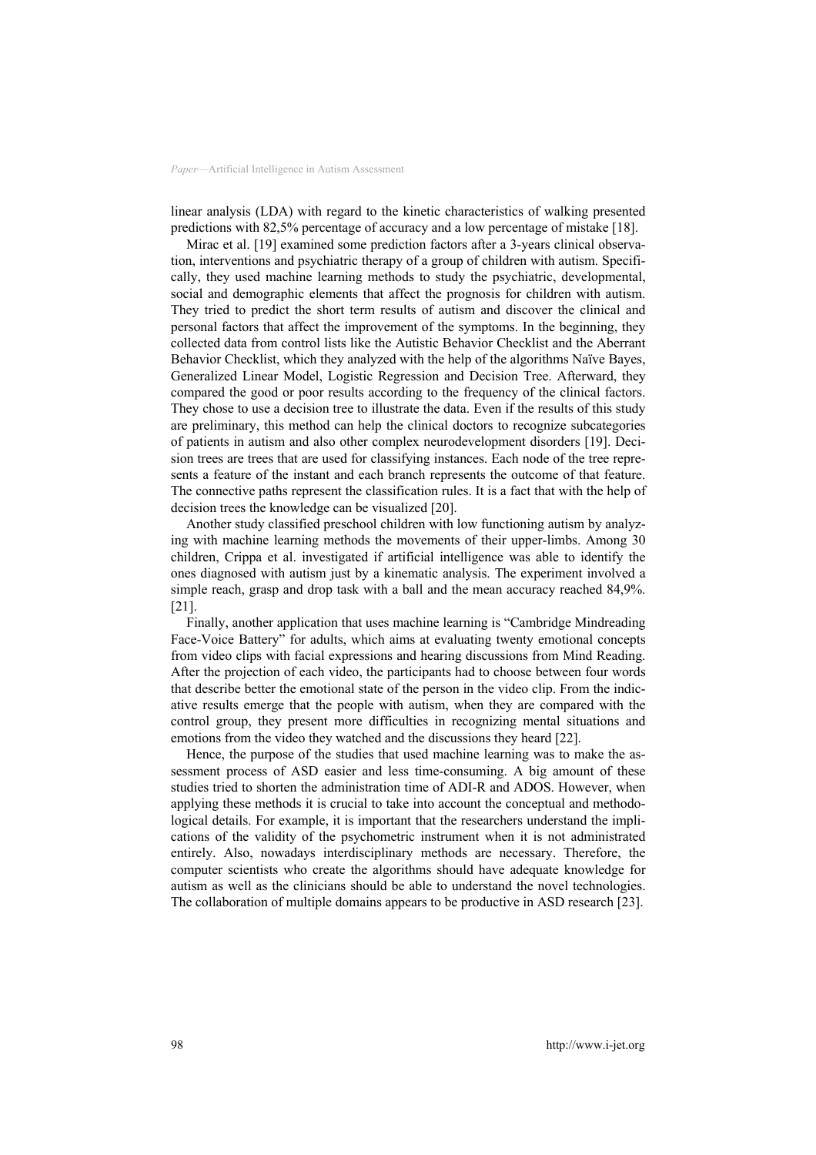linear analysis (LDA) with regard to the kinetic characteristics of walking presented predictions with 82,5% percentage of accuracy and a low percentage of mistake [18].

Mirac et al. [19] examined some prediction factors after a 3-years clinical observation, interventions and psychiatric therapy of a group of children with autism. Specifically, they used machine learning methods to study the psychiatric, developmental, social and demographic elements that affect the prognosis for children with autism. They tried to predict the short term results of autism and discover the clinical and personal factors that affect the improvement of the symptoms. In the beginning, they collected data from control lists like the Autistic Behavior Checklist and the Aberrant Behavior Checklist, which they analyzed with the help of the algorithms Naïve Bayes, Generalized Linear Model, Logistic Regression and Decision Tree. Afterward, they compared the good or poor results according to the frequency of the clinical factors. They chose to use a decision tree to illustrate the data. Even if the results of this study are preliminary, this method can help the clinical doctors to recognize subcategories of patients in autism and also other complex neurodevelopment disorders [19]. Decision trees are trees that are used for classifying instances. Each node of the tree represents a feature of the instant and each branch represents the outcome of that feature. The connective paths represent the classification rules. It is a fact that with the help of decision trees the knowledge can be visualized [20].

Another study classified preschool children with low functioning autism by analyzing with machine learning methods the movements of their upper-limbs. Among 30 children, Crippa et al. investigated if artificial intelligence was able to identify the ones diagnosed with autism just by a kinematic analysis. The experiment involved a simple reach, grasp and drop task with a ball and the mean accuracy reached 84,9%. [21].

Finally, another application that uses machine learning is "Cambridge Mindreading Face-Voice Battery" for adults, which aims at evaluating twenty emotional concepts from video clips with facial expressions and hearing discussions from Mind Reading. After the projection of each video, the participants had to choose between four words that describe better the emotional state of the person in the video clip. From the indicative results emerge that the people with autism, when they are compared with the control group, they present more difficulties in recognizing mental situations and emotions from the video they watched and the discussions they heard [22].

Hence, the purpose of the studies that used machine learning was to make the assessment process of ASD easier and less time-consuming. A big amount of these studies tried to shorten the administration time of ADI-R and ADOS. However, when applying these methods it is crucial to take into account the conceptual and methodological details. For example, it is important that the researchers understand the implications of the validity of the psychometric instrument when it is not administrated entirely. Also, nowadays interdisciplinary methods are necessary. Therefore, the computer scientists who create the algorithms should have adequate knowledge for autism as well as the clinicians should be able to understand the novel technologies. The collaboration of multiple domains appears to be productive in ASD research [23].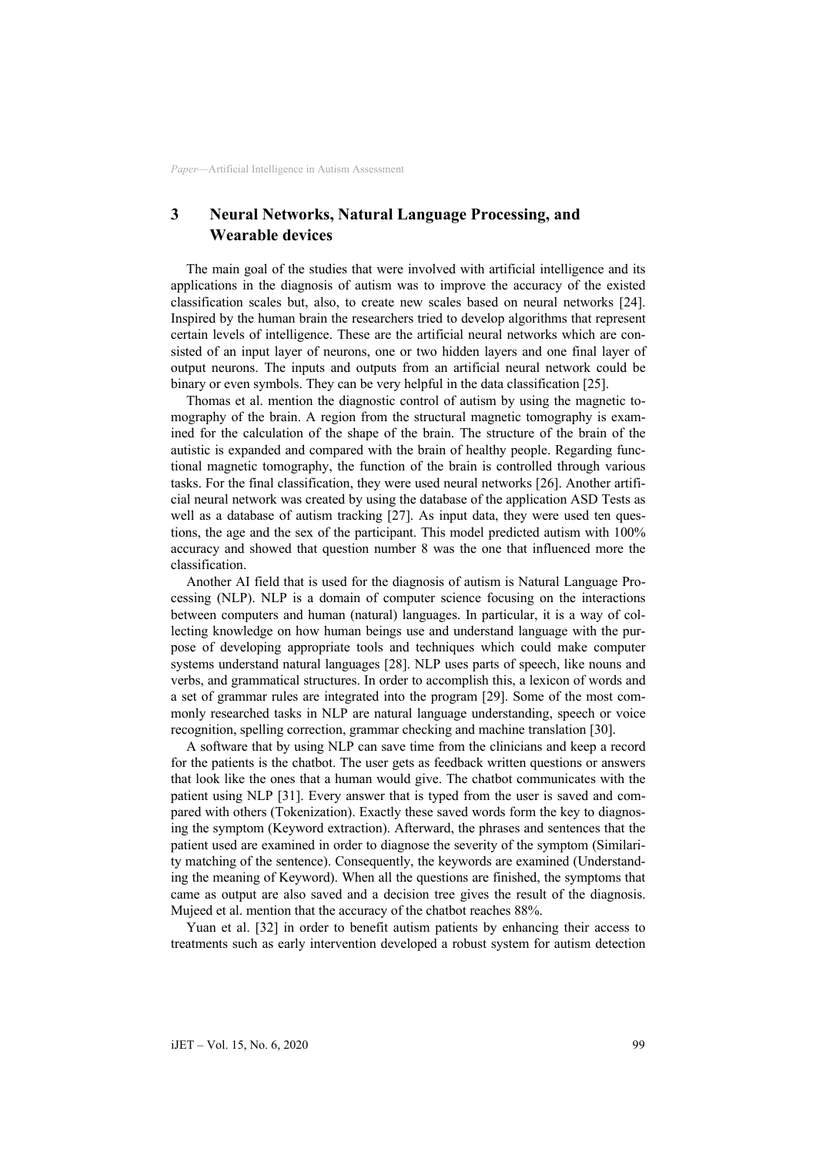# **3 Neural Networks, Natural Language Processing, and Wearable devices**

The main goal of the studies that were involved with artificial intelligence and its applications in the diagnosis of autism was to improve the accuracy of the existed classification scales but, also, to create new scales based on neural networks [24]. Inspired by the human brain the researchers tried to develop algorithms that represent certain levels of intelligence. These are the artificial neural networks which are consisted of an input layer of neurons, one or two hidden layers and one final layer of output neurons. The inputs and outputs from an artificial neural network could be binary or even symbols. They can be very helpful in the data classification [25].

Thomas et al. mention the diagnostic control of autism by using the magnetic tomography of the brain. A region from the structural magnetic tomography is examined for the calculation of the shape of the brain. The structure of the brain of the autistic is expanded and compared with the brain of healthy people. Regarding functional magnetic tomography, the function of the brain is controlled through various tasks. For the final classification, they were used neural networks [26]. Another artificial neural network was created by using the database of the application ASD Tests as well as a database of autism tracking [27]. As input data, they were used ten questions, the age and the sex of the participant. This model predicted autism with 100% accuracy and showed that question number 8 was the one that influenced more the classification.

Another AI field that is used for the diagnosis of autism is Natural Language Processing (NLP). NLP is a domain of computer science focusing on the interactions between computers and human (natural) languages. In particular, it is a way of collecting knowledge on how human beings use and understand language with the purpose of developing appropriate tools and techniques which could make computer systems understand natural languages [28]. NLP uses parts of speech, like nouns and verbs, and grammatical structures. In order to accomplish this, a lexicon of words and a set of grammar rules are integrated into the program [29]. Some of the most commonly researched tasks in NLP are natural language understanding, speech or voice recognition, spelling correction, grammar checking and machine translation [30].

A software that by using NLP can save time from the clinicians and keep a record for the patients is the chatbot. The user gets as feedback written questions or answers that look like the ones that a human would give. The chatbot communicates with the patient using NLP [31]. Every answer that is typed from the user is saved and compared with others (Tokenization). Exactly these saved words form the key to diagnosing the symptom (Keyword extraction). Afterward, the phrases and sentences that the patient used are examined in order to diagnose the severity of the symptom (Similarity matching of the sentence). Consequently, the keywords are examined (Understanding the meaning of Keyword). When all the questions are finished, the symptoms that came as output are also saved and a decision tree gives the result of the diagnosis. Mujeed et al. mention that the accuracy of the chatbot reaches 88%.

Yuan et al. [32] in order to benefit autism patients by enhancing their access to treatments such as early intervention developed a robust system for autism detection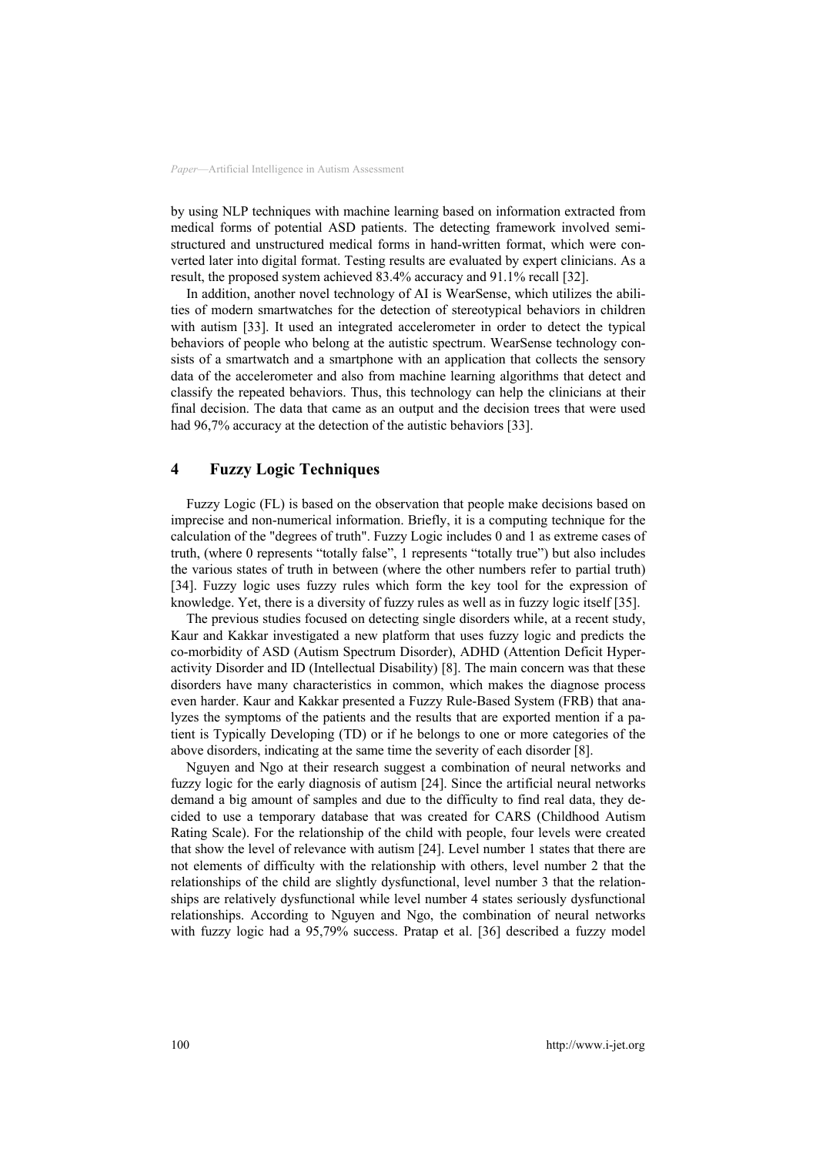by using NLP techniques with machine learning based on information extracted from medical forms of potential ASD patients. The detecting framework involved semistructured and unstructured medical forms in hand-written format, which were converted later into digital format. Testing results are evaluated by expert clinicians. As a result, the proposed system achieved 83.4% accuracy and 91.1% recall [32].

In addition, another novel technology of AI is WearSense, which utilizes the abilities of modern smartwatches for the detection of stereotypical behaviors in children with autism [33]. It used an integrated accelerometer in order to detect the typical behaviors of people who belong at the autistic spectrum. WearSense technology consists of a smartwatch and a smartphone with an application that collects the sensory data of the accelerometer and also from machine learning algorithms that detect and classify the repeated behaviors. Thus, this technology can help the clinicians at their final decision. The data that came as an output and the decision trees that were used had 96,7% accuracy at the detection of the autistic behaviors [33].

#### **4 Fuzzy Logic Techniques**

Fuzzy Logic (FL) is based on the observation that people make decisions based on imprecise and non-numerical information. Briefly, it is a computing technique for the calculation of the "degrees of truth". Fuzzy Logic includes 0 and 1 as extreme cases of truth, (where 0 represents "totally false", 1 represents "totally true") but also includes the various states of truth in between (where the other numbers refer to partial truth) [34]. Fuzzy logic uses fuzzy rules which form the key tool for the expression of knowledge. Yet, there is a diversity of fuzzy rules as well as in fuzzy logic itself [35].

The previous studies focused on detecting single disorders while, at a recent study, Kaur and Kakkar investigated a new platform that uses fuzzy logic and predicts the co-morbidity of ASD (Autism Spectrum Disorder), ADHD (Attention Deficit Hyperactivity Disorder and ID (Intellectual Disability) [8]. The main concern was that these disorders have many characteristics in common, which makes the diagnose process even harder. Kaur and Kakkar presented a Fuzzy Rule-Based System (FRB) that analyzes the symptoms of the patients and the results that are exported mention if a patient is Typically Developing (TD) or if he belongs to one or more categories of the above disorders, indicating at the same time the severity of each disorder [8].

Nguyen and Ngo at their research suggest a combination of neural networks and fuzzy logic for the early diagnosis of autism [24]. Since the artificial neural networks demand a big amount of samples and due to the difficulty to find real data, they decided to use a temporary database that was created for CARS (Childhood Autism Rating Scale). For the relationship of the child with people, four levels were created that show the level of relevance with autism [24]. Level number 1 states that there are not elements of difficulty with the relationship with others, level number 2 that the relationships of the child are slightly dysfunctional, level number 3 that the relationships are relatively dysfunctional while level number 4 states seriously dysfunctional relationships. According to Nguyen and Ngo, the combination of neural networks with fuzzy logic had a 95,79% success. Pratap et al. [36] described a fuzzy model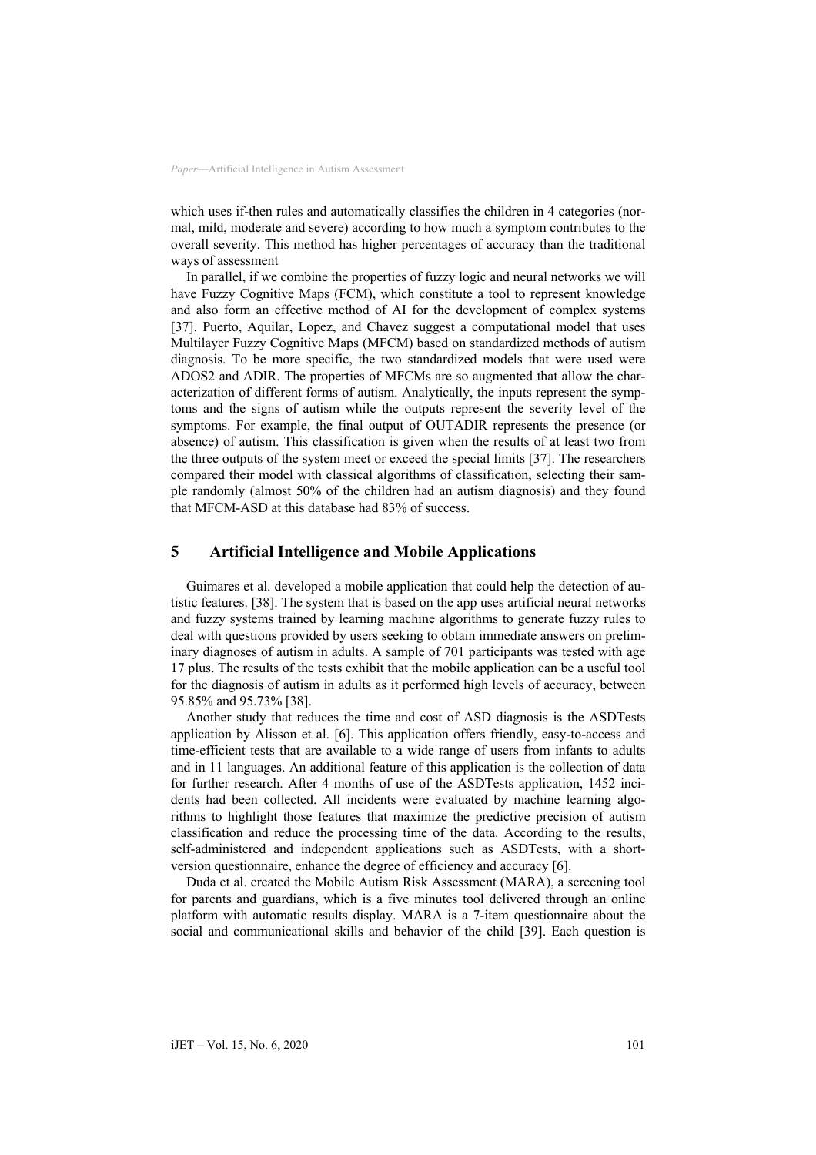which uses if-then rules and automatically classifies the children in 4 categories (normal, mild, moderate and severe) according to how much a symptom contributes to the overall severity. This method has higher percentages of accuracy than the traditional ways of assessment

In parallel, if we combine the properties of fuzzy logic and neural networks we will have Fuzzy Cognitive Maps (FCM), which constitute a tool to represent knowledge and also form an effective method of AI for the development of complex systems [37]. Puerto, Aquilar, Lopez, and Chavez suggest a computational model that uses Multilayer Fuzzy Cognitive Maps (MFCM) based on standardized methods of autism diagnosis. To be more specific, the two standardized models that were used were ADOS2 and ADIR. The properties of MFCMs are so augmented that allow the characterization of different forms of autism. Analytically, the inputs represent the symptoms and the signs of autism while the outputs represent the severity level of the symptoms. For example, the final output of OUTADIR represents the presence (or absence) of autism. This classification is given when the results of at least two from the three outputs of the system meet or exceed the special limits [37]. The researchers compared their model with classical algorithms of classification, selecting their sample randomly (almost 50% of the children had an autism diagnosis) and they found that MFCM-ASD at this database had 83% of success.

#### **5 Artificial Intelligence and Mobile Applications**

Guimares et al. developed a mobile application that could help the detection of autistic features. [38]. The system that is based on the app uses artificial neural networks and fuzzy systems trained by learning machine algorithms to generate fuzzy rules to deal with questions provided by users seeking to obtain immediate answers on preliminary diagnoses of autism in adults. A sample of 701 participants was tested with age 17 plus. The results of the tests exhibit that the mobile application can be a useful tool for the diagnosis of autism in adults as it performed high levels of accuracy, between 95.85% and 95.73% [38].

Another study that reduces the time and cost of ASD diagnosis is the ASDTests application by Alisson et al. [6]. This application offers friendly, easy-to-access and time-efficient tests that are available to a wide range of users from infants to adults and in 11 languages. An additional feature of this application is the collection of data for further research. After 4 months of use of the ASDTests application, 1452 incidents had been collected. All incidents were evaluated by machine learning algorithms to highlight those features that maximize the predictive precision of autism classification and reduce the processing time of the data. According to the results, self-administered and independent applications such as ASDTests, with a shortversion questionnaire, enhance the degree of efficiency and accuracy [6].

Duda et al. created the Mobile Autism Risk Assessment (MARA), a screening tool for parents and guardians, which is a five minutes tool delivered through an online platform with automatic results display. MARA is a 7-item questionnaire about the social and communicational skills and behavior of the child [39]. Each question is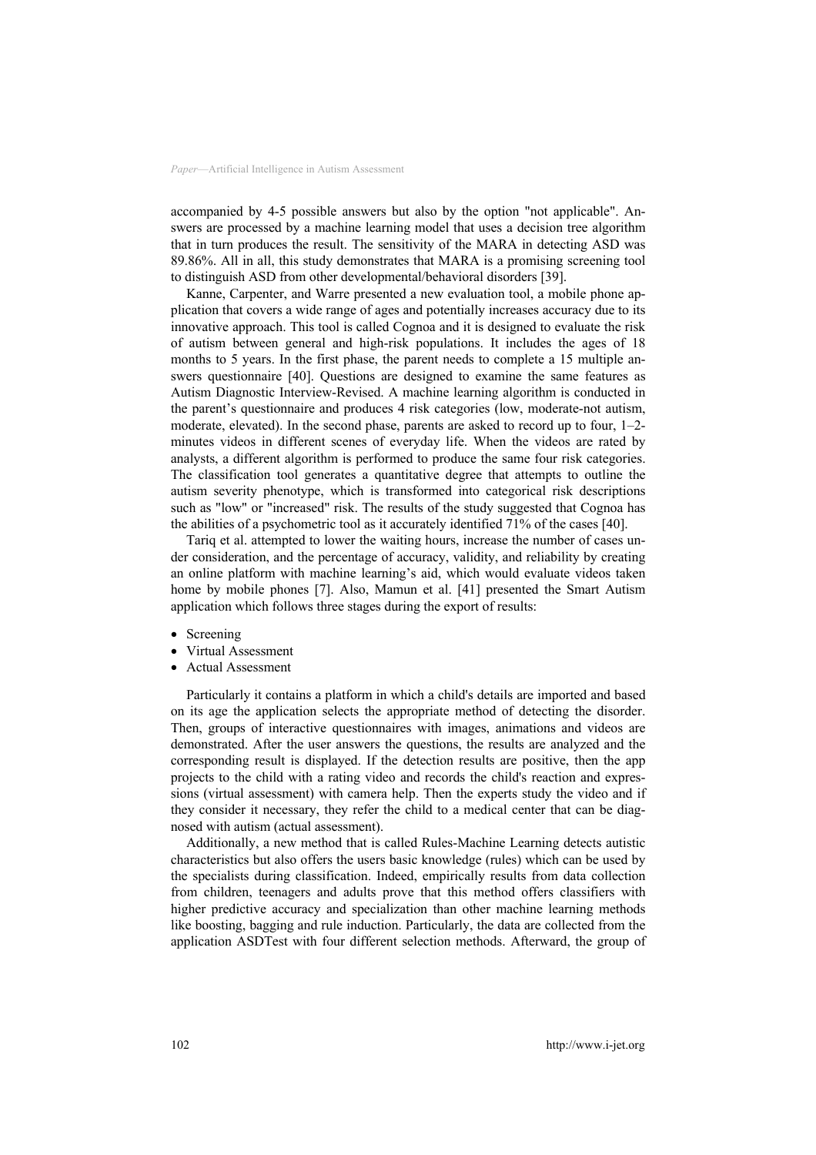accompanied by 4-5 possible answers but also by the option "not applicable". Answers are processed by a machine learning model that uses a decision tree algorithm that in turn produces the result. The sensitivity of the MARA in detecting ASD was 89.86%. All in all, this study demonstrates that MARA is a promising screening tool to distinguish ASD from other developmental/behavioral disorders [39].

Kanne, Carpenter, and Warre presented a new evaluation tool, a mobile phone application that covers a wide range of ages and potentially increases accuracy due to its innovative approach. This tool is called Cognoa and it is designed to evaluate the risk of autism between general and high-risk populations. It includes the ages of 18 months to 5 years. In the first phase, the parent needs to complete a 15 multiple answers questionnaire [40]. Questions are designed to examine the same features as Autism Diagnostic Interview-Revised. A machine learning algorithm is conducted in the parent's questionnaire and produces 4 risk categories (low, moderate-not autism, moderate, elevated). In the second phase, parents are asked to record up to four, 1–2 minutes videos in different scenes of everyday life. When the videos are rated by analysts, a different algorithm is performed to produce the same four risk categories. The classification tool generates a quantitative degree that attempts to outline the autism severity phenotype, which is transformed into categorical risk descriptions such as "low" or "increased" risk. The results of the study suggested that Cognoa has the abilities of a psychometric tool as it accurately identified 71% of the cases [40].

Tariq et al. attempted to lower the waiting hours, increase the number of cases under consideration, and the percentage of accuracy, validity, and reliability by creating an online platform with machine learning's aid, which would evaluate videos taken home by mobile phones [7]. Also, Mamun et al. [41] presented the Smart Autism application which follows three stages during the export of results:

- **Screening**
- Virtual Assessment
- Actual Assessment

Particularly it contains a platform in which a child's details are imported and based on its age the application selects the appropriate method of detecting the disorder. Then, groups of interactive questionnaires with images, animations and videos are demonstrated. After the user answers the questions, the results are analyzed and the corresponding result is displayed. If the detection results are positive, then the app projects to the child with a rating video and records the child's reaction and expressions (virtual assessment) with camera help. Then the experts study the video and if they consider it necessary, they refer the child to a medical center that can be diagnosed with autism (actual assessment).

Additionally, a new method that is called Rules-Machine Learning detects autistic characteristics but also offers the users basic knowledge (rules) which can be used by the specialists during classification. Indeed, empirically results from data collection from children, teenagers and adults prove that this method offers classifiers with higher predictive accuracy and specialization than other machine learning methods like boosting, bagging and rule induction. Particularly, the data are collected from the application ASDTest with four different selection methods. Afterward, the group of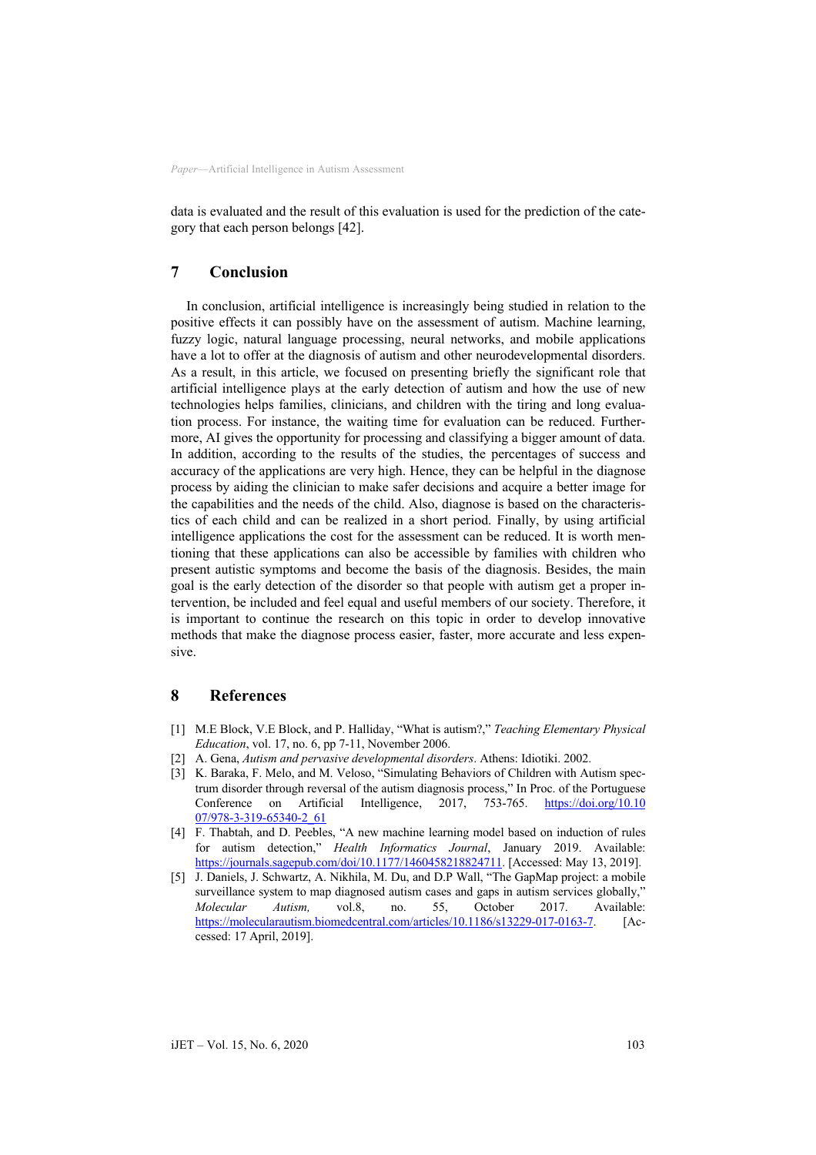data is evaluated and the result of this evaluation is used for the prediction of the category that each person belongs [42].

### **7 Conclusion**

In conclusion, artificial intelligence is increasingly being studied in relation to the positive effects it can possibly have on the assessment of autism. Machine learning, fuzzy logic, natural language processing, neural networks, and mobile applications have a lot to offer at the diagnosis of autism and other neurodevelopmental disorders. As a result, in this article, we focused on presenting briefly the significant role that artificial intelligence plays at the early detection of autism and how the use of new technologies helps families, clinicians, and children with the tiring and long evaluation process. For instance, the waiting time for evaluation can be reduced. Furthermore, AI gives the opportunity for processing and classifying a bigger amount of data. In addition, according to the results of the studies, the percentages of success and accuracy of the applications are very high. Hence, they can be helpful in the diagnose process by aiding the clinician to make safer decisions and acquire a better image for the capabilities and the needs of the child. Also, diagnose is based on the characteristics of each child and can be realized in a short period. Finally, by using artificial intelligence applications the cost for the assessment can be reduced. It is worth mentioning that these applications can also be accessible by families with children who present autistic symptoms and become the basis of the diagnosis. Besides, the main goal is the early detection of the disorder so that people with autism get a proper intervention, be included and feel equal and useful members of our society. Therefore, it is important to continue the research on this topic in order to develop innovative methods that make the diagnose process easier, faster, more accurate and less expensive.

## **8 References**

- [1] M.E Block, V.E Block, and P. Halliday, "What is autism?," *Teaching Elementary Physical Education*, vol. 17, no. 6, pp 7-11, November 2006.
- [2] A. Gena, *Autism and pervasive developmental disorders*. Athens: Idiotiki. 2002.
- [3] K. Baraka, F. Melo, and M. Veloso, "Simulating Behaviors of Children with Autism spectrum disorder through reversal of the autism diagnosis process," In Proc. of the Portuguese Conference on Artificial Intelligence, 2017, 753-765. https://doi.org/10.10 07/978-3-319-65340-2\_61
- [4] [F. Thabtah, and D. Peebles, "A new machine l](https://doi.org/10.1007/978-3-319-65340-2_61)earning model based on induction of rules for autism detection," *Health Informatics Journal*, January 2019. Available: https://journals.sagepub.com/doi/10.1177/146045821882471[1. \[Accessed: May 13, 2019\].](https://journals.sagepub.com/doi/10.1177/1460458218824711)
- [5] [J. Daniels, J. Schwartz, A.](https://journals.sagepub.com/doi/10.1177/1460458218824711) Nikhila, M. Du, and D.P Wall, "The GapMap project: a mobile surveillance system to map diagnosed autism cases and gaps in autism services globally," *Molecular Autism,* vol.8, no. 55, October 2017. Available: https://molecularautism.biomedcentral.com/articles/10.1186/s13229-017-0163-[7. \[A](https://molecularautism.biomedcentral.com/articles/10.1186/s13229-017-0163-7)c[cessed: 17 April, 2019\].](https://molecularautism.biomedcentral.com/articles/10.1186/s13229-017-0163-7)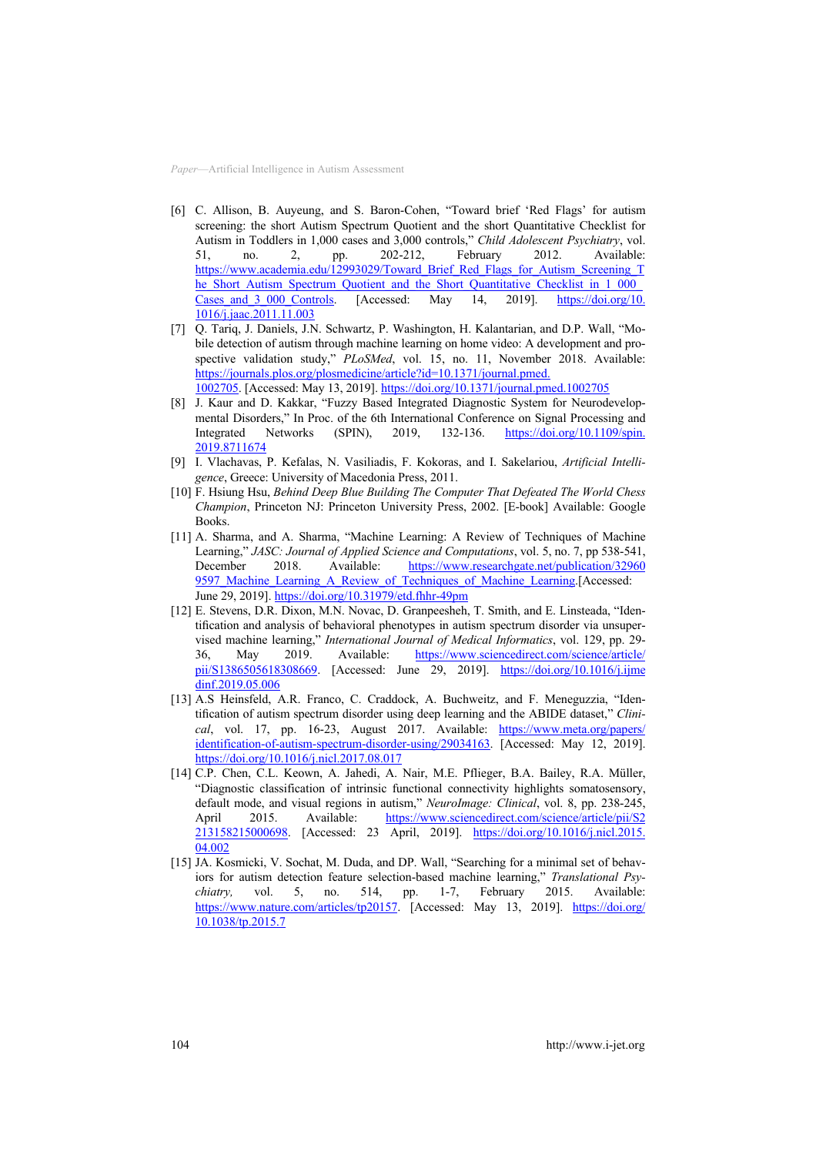- [6] [C. Allison, B. Auyeung, and S. Baron-Cohen, "](https://molecularautism.biomedcentral.com/articles/10.1186/s13229-017-0163-7)Toward brief 'Red Flags' for autism screening: the short Autism Spectrum Quotient and the short Quantitative Checklist for Autism in Toddlers in 1,000 cases and 3,000 controls," *Child Adolescent Psychiatry*, vol. 51, no. 2, pp. 202-212, February 2012. Available: https://www.academia.edu/12993029/Toward Brief Red Flags for Autism Screening T he\_Short\_Autism\_Spectrum\_Quotient\_and\_the\_Short\_Quantitative\_Checklist\_in\_1\_000 Cases and 3 000 Control[s. \[Accessed: May 14, 2019\]. https://doi.org/10.](https://www.academia.edu/12993029/Toward_Brief_Red_Flags_for_Autism_Screening_The_Short_Autism_Spectrum_Quotient_and_the_Short_Quantitative_Checklist_in_1_000_Cases_and_3_000_Controls) [1016/j.jaac.2011.11.003](https://www.academia.edu/12993029/Toward_Brief_Red_Flags_for_Autism_Screening_The_Short_Autism_Spectrum_Quotient_and_the_Short_Quantitative_Checklist_in_1_000_Cases_and_3_000_Controls)
- [7] [Q. Tariq, J. Daniels, J.N. Schwartz, P. Washington, H. Kalantarian, and D.P. Wall, "M](https://www.academia.edu/12993029/Toward_Brief_Red_Flags_for_Autism_Screening_The_Short_Autism_Spectrum_Quotient_and_the_Short_Quantitative_Checklist_in_1_000_Cases_and_3_000_Controls)o[bile detection of autism](https://www.academia.edu/12993029/Toward_Brief_Red_Flags_for_Autism_Screening_The_Short_Autism_Spectrum_Quotient_and_the_Short_Quantitative_Checklist_in_1_000_Cases_and_3_000_Controls) through machine learning on home video: A development and prospective validation study," *PLoSMed*, vol. 15, no. 11, November 2018. Available: https://journals.plos.org/plosmedicine/article?id=10.1371/journal.pmed. 1002705. [Accessed: May 13, 2019]. [https://doi.org/10.1371/journal.pmed.1002705](https://journals.plos.org/plosmedicine/article?id=10.1371/journal.pmed.1002705)
- [8] [J. Ka](https://journals.plos.org/plosmedicine/article?id=10.1371/journal.pmed.1002705)[ur and D. Kakkar, "Fuzzy Based Integra](https://doi.org/10.1371/journal.pmed.1002705)ted Diagnostic System for Neurodevelopmental Disorders," In Proc. of the 6th International Conference on Signal Processing and Integrated Networks (SPIN), 2019, 132-136. https://doi.org/10.1109/spin. 2019.8711674
- [9] [I. Vlachavas, P. Kefalas, N. Vasiliadis,](https://doi.org/10.1109/spin.2019.8711674) F. Kokoras, and I. Sakelariou, *Artificial Intelligence*, Greece: University of Macedonia Press, 2011.
- [10] F. Hsiung Hsu, *Behind Deep Blue Building The Computer That Defeated The World Chess Champion*, Princeton NJ: Princeton University Press, 2002. [E-book] Available: Google Books.
- [11] A. Sharma, and A. Sharma, "Machine Learning: A Review of Techniques of Machine Learning," *JASC: Journal of Applied Science and Computations*, vol. 5, no. 7, pp 538-541, December 2018. Available: https://www.researchgate.net/publication/32960 9597 Machine Learning A Review of Techniques of Machine Learnin[g.\[Accessed:](https://www.researchgate.net/publication/329609597_Machine_Learning_A_Review_of_Techniques_of_Machine_Learning) [June 29, 2019\]. https://doi.org/10.31979/etd.fhhr-49pm](https://www.researchgate.net/publication/329609597_Machine_Learning_A_Review_of_Techniques_of_Machine_Learning)
- [12] [E. Stevens, D.R. Dixon, M.N. Novac, D. Granp](https://www.researchgate.net/publication/329609597_Machine_Learning_A_Review_of_Techniques_of_Machine_Learning)eesheh, T. Smith, and E. Linsteada, "Identification and analysis of behavioral phenotypes in autism spectrum disorder via unsupervised machine learning," *International Journal of Medical Informatics*, vol. 129, pp. 29- 36, May 2019. Available: https://www.sciencedirect.com/science/article/ pii/S138650561830866[9. \[Accessed: June 29, 2019\].](https://www.sciencedirect.com/science/article/pii/S1386505618308669) https://doi.org/10.1016/j.ijme [dinf.201](https://www.sciencedirect.com/science/article/pii/S1386505618308669)9.05.006
- [13] [A.S Heinsfeld, A.R. Franco, C. Craddock, A. Bu](https://doi.org/10.1016/j.ijmedinf.2019.05.006)chweitz, and F. Meneguzzia, "Identification of autism spectrum disorder using deep learning and the ABIDE dataset," *Clini*cal, vol. 17, pp. 16-23, August 2017. Available: https://www.meta.org/papers/ identification-of-autism-spectrum-disorder-using/2903416[3. \[Accessed: May 12, 2019\].](https://www.meta.org/papers/identification-of-autism-spectrum-disorder-using/29034163) [https://doi.org/10.1016/j.nicl.2017.08.017](https://www.meta.org/papers/identification-of-autism-spectrum-disorder-using/29034163)
- [14] [C.P. Chen, C.L](https://www.meta.org/papers/identification-of-autism-spectrum-disorder-using/29034163)[. Keown, A. Jahedi, A. Nair](https://doi.org/10.1016/j.nicl.2017.08.017), M.E. Pflieger, B.A. Bailey, R.A. Müller, "Diagnostic classification of intrinsic functional connectivity highlights somatosensory, default mode, and visual regions in autism," *NeuroImage: Clinical*, vol. 8, pp. 238-245, April 2015. Available: https://www.sciencedirect.com/science/article/pii/S2 21315821500069[8. \[Accessed: 23 April, 2019\]. https://doi.org/10.1016/j.nicl.2015.](https://www.sciencedirect.com/science/article/pii/S2213158215000698) [0](https://www.sciencedirect.com/science/article/pii/S2213158215000698)4.002
- [15] [JA. Kosmicki, V. Sochat, M. Duda, and DP.](https://doi.org/10.1016/j.nicl.2015.04.002) Wall, "Searching for a minimal set of behaviors for autism detection feature selection-based machine learning," *Translational Psychiatry,* vol. 5, no. 514, pp. 1-7, February 2015. Available: https://www.nature.com/articles/tp2015[7. \[Accessed: May 13, 2019\]. https://doi](https://www.nature.com/articles/tp20157).org/ 10.1038/tp.2015.7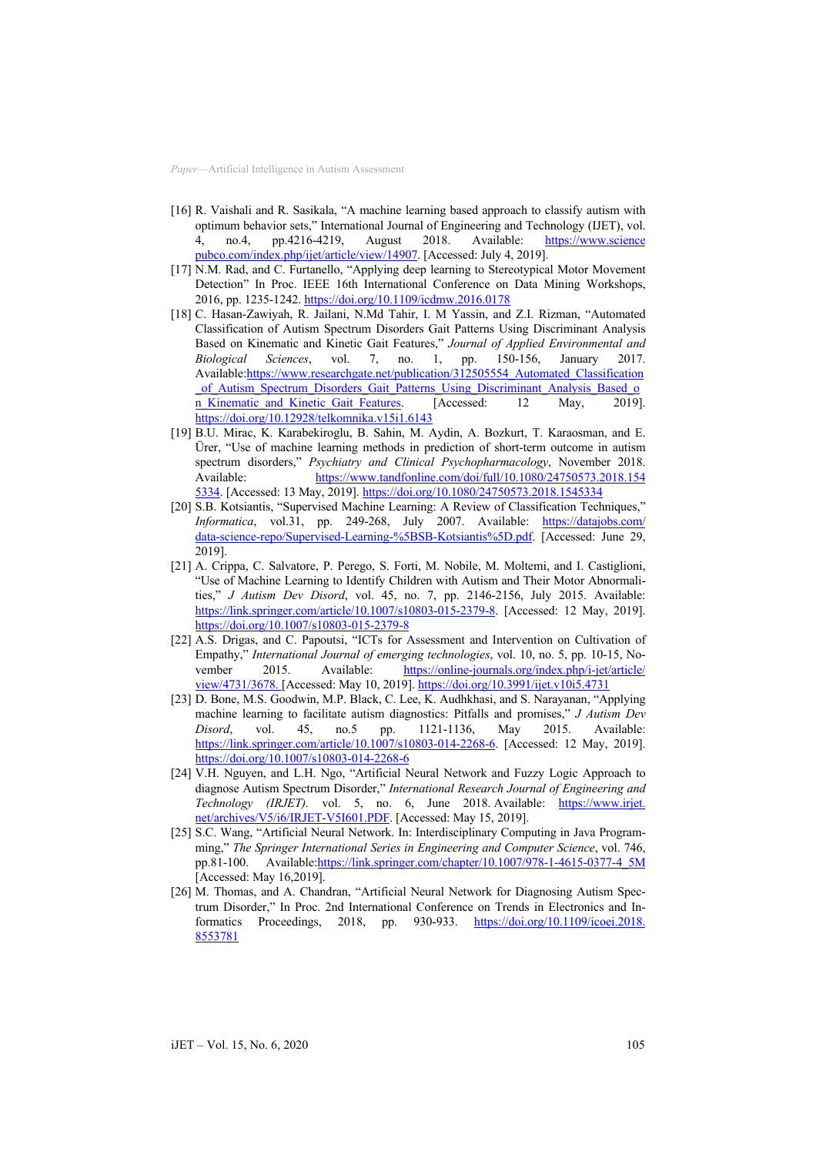- [16] [R. Vaishali and R. Sasikala, "A m](https://doi.org/10.1038/tp.2015.7)achine learning based approach to classify autism with optimum behavior sets," International Journal of Engineering and Technology (IJET), vol. 4, no.4, pp.4216-4219, August 2018. Available: https://www.science pubco.com/index.php/ijet/article/view/1490[7. \[Accessed: July 4, 2019\].](https://www.sciencepubco.com/index.php/ijet/article/view/14907)
- [17] [N.M. Rad, and C. Furtanello, "Apply](https://www.sciencepubco.com/index.php/ijet/article/view/14907)ing deep learning to Stereotypical Motor Movement Detection" In Proc. IEEE 16th International Conference on Data Mining Workshops, 2016, pp. 1235-1242. https://doi.org/10.1109/icdmw.2016.0178
- [18] [C. Hasan-Zawiyah, R. Jailani, N.Md Tah](https://doi.org/10.1109/icdmw.2016.0178)ir, I. M Yassin, and Z.I. Rizman, "Automated Classification of Autism Spectrum Disorders Gait Patterns Using Discriminant Analysis Based on Kinematic and Kinetic Gait Features," *Journal of Applied Environmental and Biological Sciences*, vol. 7, no. 1, pp. 150-156, January 2017. Available:https://www.researchgate.net/publication/312505554\_Automated\_Classification \_of\_Autism\_Spectrum\_Disorders\_Gait\_Patterns\_Using\_Discriminant\_Analysis\_Based\_o n Kinematic and Kinetic Gait Feature[s. \[Accessed: 12 May, 2019\].](https://www.researchgate.net/publication/312505554_Automated_Classification_of_Autism_Spectrum_Disorders_Gait_Patterns_Using_Discriminant_Analysis_Based_on_Kinematic_and_Kinetic_Gait_Features) [https://doi.org/10.12928/telkomnika.v15i1.6143](https://www.researchgate.net/publication/312505554_Automated_Classification_of_Autism_Spectrum_Disorders_Gait_Patterns_Using_Discriminant_Analysis_Based_on_Kinematic_and_Kinetic_Gait_Features)
- [19] [B.U. Mirac, K. Karabekiroglu, B. Sahin, M. Aydin, A. Bozkurt, T. Karaosman, and E.](https://www.researchgate.net/publication/312505554_Automated_Classification_of_Autism_Spectrum_Disorders_Gait_Patterns_Using_Discriminant_Analysis_Based_on_Kinematic_and_Kinetic_Gait_Features) [Ürer, "Use of machine learning me](https://www.researchgate.net/publication/312505554_Automated_Classification_of_Autism_Spectrum_Disorders_Gait_Patterns_Using_Discriminant_Analysis_Based_on_Kinematic_and_Kinetic_Gait_Features)thods in prediction of short-term outcome in autism spectrum disorders," *Psychiatry and Clinical Psychopharmacology*, November 2018. Available: https://www.tandfonline.com/doi/full/10.1080/24750573.2018.154 5334. [Accessed: [13 May, 2019\]. https://doi.org/10.1080/24750573.2018.1](https://www.tandfonline.com/doi/full/10.1080/24750573.2018.1545334)545334
- [20] [S.B. Kotsiantis, "Supervised Machine Learnin](https://doi.org/10.1080/24750573.2018.1545334)g: A Review of Classification Techniques," *Informatica*, vol.31, pp. 249-268, July 2007. Available: https://datajobs.com/ data-science-repo/Supervised-Learning-%5BSB-Kotsiantis%5D.pd[f. \[Accessed: June 29,](https://datajobs.com/data-science-repo/Supervised-Learning-%5BSB-Kotsiantis%5D.pdf) [2019\].](https://datajobs.com/data-science-repo/Supervised-Learning-%5BSB-Kotsiantis%5D.pdf)
- [21] [A. Crippa, C. Salvatore, P. Perego, S. Forti, M. Nobil](https://datajobs.com/data-science-repo/Supervised-Learning-%5BSB-Kotsiantis%5D.pdf)e, M. Moltemi, and I. Castiglioni, "Use of Machine Learning to Identify Children with Autism and Their Motor Abnormalities," *J Autism Dev Disord*, vol. 45, no. 7, pp. 2146-2156, July 2015. Available: https://link.springer.com/article/10.1007/s10803-015-2379-[8. \[Accessed: 12 May, 2019\].](https://link.springer.com/article/10.1007/s10803-015-2379-8) [https://doi.org/10.1007/s10803-](https://link.springer.com/article/10.1007/s10803-015-2379-8)015-2379-8
- [22] A.S. Drigas, [and C. Papoutsi, "ICTs for](https://doi.org/10.1007/s10803-015-2379-8) Assessment and Intervention on Cultivation of Empathy," *International Journal of emerging technologies*, vol. 10, no. 5, pp. 10-15, November 2015. Available: https://online-journals.org/index.php/i-jet/article/ view/4731/367[8. \[Accessed: May 10, 2019\]. https://doi.org/10.3991/ijet.v10i5.4731](https://online-journals.org/index.php/i-jet/article/view/4731/3678)
- [23] D. Bone, M.S. [Goodwin, M.P.](https://doi.org/10.3991/ijet.v10i5.4731) Black, C. Lee, K. Audhkhasi, and S. Narayanan, "Applying machine learning to facilitate autism diagnostics: Pitfalls and promises," *J Autism Dev Disord*, vol. 45, no.5 pp. 1121-1136, May 2015. Available: https://link.springer.com/article/10.1007/s10803-014-2268-[6. \[Accessed: 12 May, 2019\].](https://link.springer.com/article/10.1007/s10803-014-2268-6) [https://doi.org/10.1007/s10803-](https://link.springer.com/article/10.1007/s10803-014-2268-6)014-2268-6
- [24] V.H. Nguyen, and L.H. Ngo, ["Artificial N](https://doi.org/10.1007/s10803-014-2268-6)eural Network and Fuzzy Logic Approach to diagnose Autism Spectrum Disorder," *International Research Journal of Engineering and Technology (IRJET).* vol. 5, no. 6, June 2018. Available: https://www.irjet. net/archives/V5/i6/IRJET-V5I601.PDF. [Accessed: [May 15, 2019\].](https://www.irjet.net/archives/V5/i6/IRJET-V5I601.PDF)
- [25] [S.C. Wang, "Artificial Neu](https://www.irjet.net/archives/V5/i6/IRJET-V5I601.PDF)ral Network. In: Interdisciplinary Computing in Java Programming," *The Springer International Series in Engineering and Computer Science*, vol. 746, pp.81-100. Available:https://link.springer.com/chapter/10.1007/978-1-4615-0377-4\_5M [Accessed: [May 16,2019\].](https://link.springer.com/chapter/10.1007/978-1-4615-0377-4_5M)
- [26] [M. Thomas, and](https://link.springer.com/chapter/10.1007/978-1-4615-0377-4_5M) A. Chandran, "Artificial Neural Network for Diagnosing Autism Spectrum Disorder," In Proc. 2nd International Conference on Trends in Electronics and Informatics Proceedings, 2018, pp. 930-933. https://doi.org/10.1109/icoei.2018. 8553781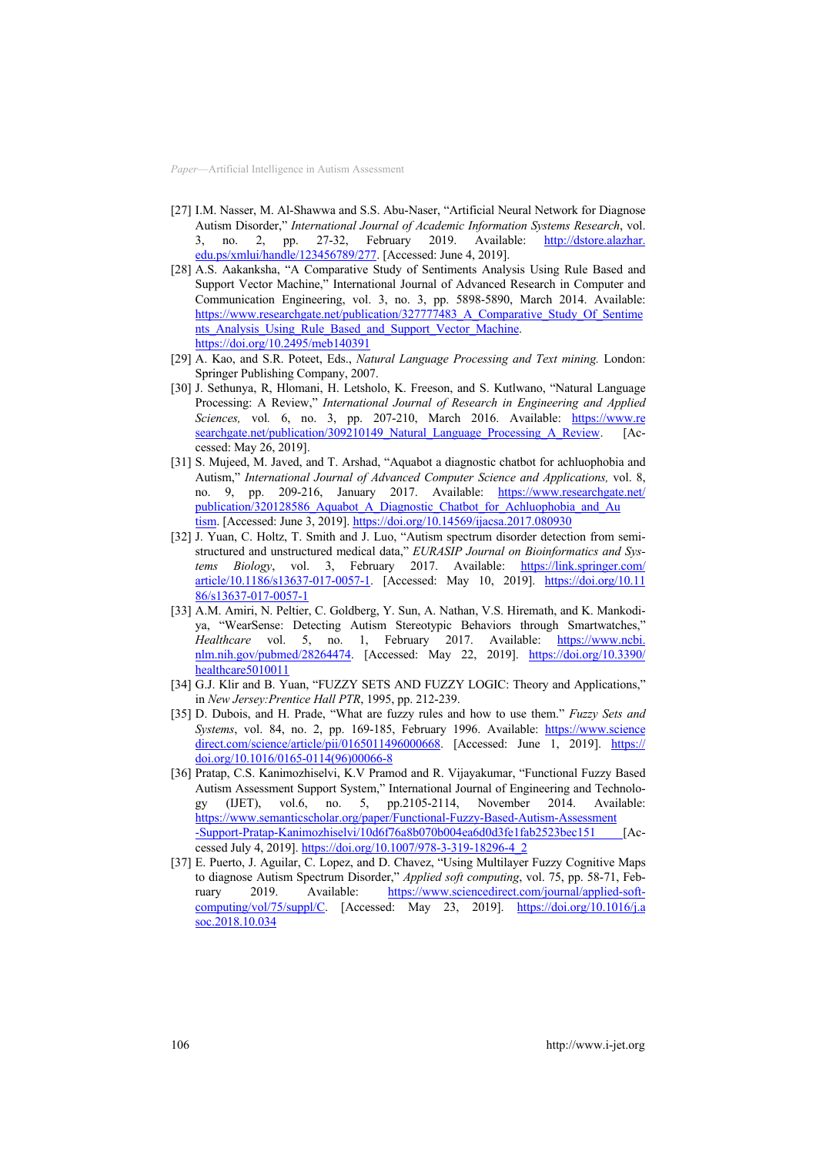- [27] I.M. [Nasser, M. Al-Shawwa and](https://doi.org/10.1109/icoei.2018.8553781) S.S. Abu-Naser, "Artificial Neural Network for Diagnose Autism Disorder," *International Journal of Academic Information Systems Research*, vol. 3, no. 2, pp. 27-32, February 2019. Available: http://dstore.alazhar. edu.ps/xmlui/handle/123456789/27[7. \[Accessed: June 4, 2019\].](http://dstore.alazhar.edu.ps/xmlui/handle/123456789/277)
- [28] [A.S. Aakanksha, "A Comparati](http://dstore.alazhar.edu.ps/xmlui/handle/123456789/277)ve Study of Sentiments Analysis Using Rule Based and Support Vector Machine," International Journal of Advanced Research in Computer and Communication Engineering, vol. 3, no. 3, pp. 5898-5890, March 2014. Available: https://www.researchgate.net/publication/327777483\_A\_Comparative\_Study\_Of\_Sentime nts\_Analysis\_Using\_Rule\_Based\_and\_Support\_Vector\_Machin[e.](https://www.researchgate.net/publication/327777483_A_Comparative_Study_Of_Sentiments_Analysis_Using_Rule_Based_and_Support_Vector_Machine) [https://doi.org/10.2495/meb140391](https://www.researchgate.net/publication/327777483_A_Comparative_Study_Of_Sentiments_Analysis_Using_Rule_Based_and_Support_Vector_Machine)
- [29] A. Kao, and S.R. [Poteet, Eds.,](https://doi.org/10.2495/meb140391) *[Natural Language Processing and Text mining.](https://www.researchgate.net/publication/327777483_A_Comparative_Study_Of_Sentiments_Analysis_Using_Rule_Based_and_Support_Vector_Machine)* London: [Springer Publishi](https://www.researchgate.net/publication/327777483_A_Comparative_Study_Of_Sentiments_Analysis_Using_Rule_Based_and_Support_Vector_Machine)ng Company, 2007.
- [30] J. Sethunya, R, Hlomani, H. Letsholo, K. Freeson, and S. Kutlwano, "Natural Language Processing: A Review," *International Journal of Research in Engineering and Applied Sciences,* vol*.* 6, no. 3, pp. 207-210, March 2016. Available: https://www.re searchgate.net/publication/309210149\_Natural\_Language\_Processing\_A\_Revie[w. \[A](https://www.researchgate.net/publication/309210149_Natural_Language_Processing_A_Review)c[cessed: May 26, 2019\].](https://www.researchgate.net/publication/309210149_Natural_Language_Processing_A_Review)
- [31] [S. Mujeed, M. Javed, and T. Arshad,](https://www.researchgate.net/publication/309210149_Natural_Language_Processing_A_Review) "Aquabot a diagnostic chatbot for achluophobia and Autism," *International Journal of Advanced Computer Science and Applications,* vol. 8, no. 9, pp. 209-216, January 2017. Available: https://www.researchgate.net/ publication/320128586\_Aquabot\_A\_Diagnostic\_Chatbot\_for\_Achluophobia\_and\_Au tism. [Accessed: June 3, 2019]. [https://doi.org/10.14569/ijacsa.2017.080930](https://www.researchgate.net/publication/320128586_Aquabot_A_Diagnostic_Chatbot_for_Achluophobia_and_Autism)
- [32] J. Yuan, [C. Holtz,](https://www.researchgate.net/publication/320128586_Aquabot_A_Diagnostic_Chatbot_for_Achluophobia_and_Autism) T. Smith and [J. Luo, "A](https://doi.org/10.14569/ijacsa.2017.080930)utism spectrum disorder detection from semistructured and unstructured medical data," *EURASIP Journal on Bioinformatics and Systems Biology*, vol. 3, February 2017. Available: https://link.springer.com/ article/10.1186/s13637-017-0057-[1. \[Accessed: May 10, 2019\].](https://link.springer.com/article/10.1186/s13637-017-0057-1) https://doi.org/10.11 [86/s13637-](https://link.springer.com/article/10.1186/s13637-017-0057-1)017-0057-1
- [33] [A.M. Amiri,](https://doi.org/10.1186/s13637-017-0057-1) N. Peltier, C. Goldberg, Y. Sun, A. Nathan, V.S. Hiremath, and K. Mankodiya, "WearSense: Detecting Autism Stereotypic Behaviors through Smartwatches," *Healthcare* vol. 5, no. 1, February 2017. Available: https://www.ncbi. nlm.nih.gov/pubmed/2826447[4. \[Accessed: May 22, 2019\]. https://doi.org/1](https://www.ncbi.nlm.nih.gov/pubmed/28264474)0.3390/ healthcare5010011
- [34] G.J. Klir and B. Yuan, ["FUZZY SETS AND FU](https://doi.org/10.3390/healthcare5010011)ZZY LOGIC: Theory and Applications," in *New Jersey:Prentice Hall PTR*, 1995, pp. 212-239.
- [35] D. Dubois, and H. Prade, "What are fuzzy rules and how to use them." *Fuzzy Sets and Systems*, vol. 84, no. 2, pp. 169-185, February 1996. Available: https://www.science direct.com/science/article/pii/016501149600066[8. \[Accessed: June 1, 2019\].](https://www.sciencedirect.com/science/article/pii/0165011496000668) https:// [doi.org/10.1016/0165-0114\(96\)0](https://www.sciencedirect.com/science/article/pii/0165011496000668)0066-8
- [36] [Pratap, C.S. Kanimozhiselvi, K.V Pramod and](https://doi.org/10.1016/0165-0114(96)00066-8) R. Vijayakumar, "Functional Fuzzy Based Autism Assessment Support System," International Journal of Engineering and Technology (IJET), vol.6, no. 5, pp.2105-2114, November 2014. Available: https://www.semanticscholar.org/paper/Functional-Fuzzy-Based-Autism-Assessment -Support-Pratap-Kanimozhiselvi/10d6f76a8b070b004ea6d0d3fe1fab2523bec151 [\[A](https://www.semanticscholar.org/paper/Functional-Fuzzy-Based-Autism-Assessment-Support-Pratap-Kanimozhiselvi/10d6f76a8b070b004ea6d0d3fe1fab2523bec151)ccessed July 4, 2019]. [https://doi.org/10.1007/978-3-319-18296-4\\_2](https://www.semanticscholar.org/paper/Functional-Fuzzy-Based-Autism-Assessment-Support-Pratap-Kanimozhiselvi/10d6f76a8b070b004ea6d0d3fe1fab2523bec151)
- [37] E. Puerto, [J. Aguilar, C. Lopez, and](https://doi.org/10.1007/978-3-319-18296-4_2) [D. Chavez, "Using Multilayer Fuzzy Cognitiv](https://www.semanticscholar.org/paper/Functional-Fuzzy-Based-Autism-Assessment-Support-Pratap-Kanimozhiselvi/10d6f76a8b070b004ea6d0d3fe1fab2523bec151)e Maps to diagnose Autism Spectrum Disorder," *Applied soft computing*, vol. 75, pp. 58-71, February 2019. Available: https://www.sciencedirect.com/journal/applied-soft-computing/vol/75/suppl/[C. \[Accessed: May 23, 2019\].](https://www.sciencedirect.com/journal/applied-soft-computing/vol/75/suppl/C) https://doi.org/10.1016/j.a [soc.2018.10.034](https://www.sciencedirect.com/journal/applied-soft-computing/vol/75/suppl/C)